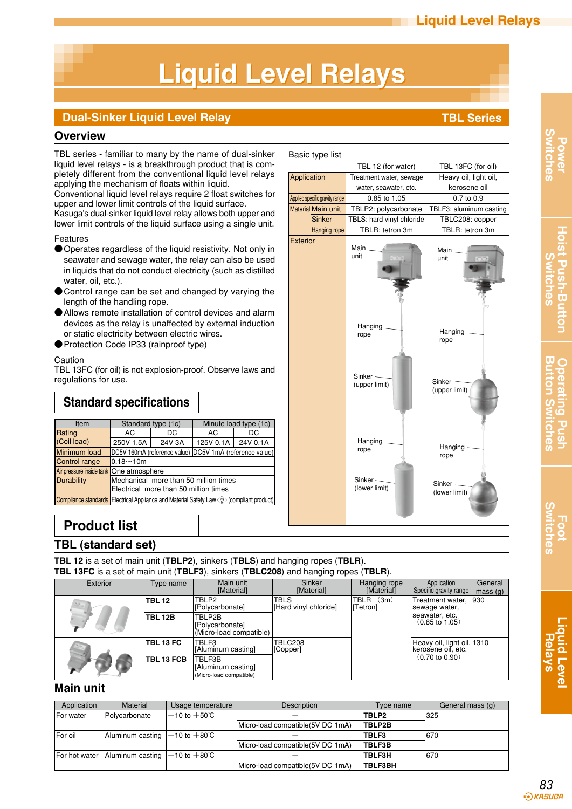# **Liquid Level Relays Liquid Level Relays**

### **Dual-Sinker Liquid Level Relay TBL** Series

### **Overview**

TBL series - familiar to many by the name of dual-sinker liquid level relays - is a breakthrough product that is completely different from the conventional liquid level relays applying the mechanism of floats within liquid.

Conventional liquid level relays require 2 float switches for upper and lower limit controls of the liquid surface.

Kasuga's dual-sinker liquid level relay allows both upper and lower limit controls of the liquid surface using a single unit.

#### Features

- Operates regardless of the liquid resistivity. Not only in seawater and sewage water, the relay can also be used in liquids that do not conduct electricity (such as distilled water, oil, etc.).
- Control range can be set and changed by varying the length of the handling rope.
- ●Allows remote installation of control devices and alarm devices as the relay is unaffected by external induction or static electricity between electric wires.
- Protection Code IP33 (rainproof type)

#### **Caution**

TBL 13FC (for oil) is not explosion-proof. Observe laws and regulations for use.

### **Standard specifications**

| Item          | Standard type (1c)                                                                           |        | Minute load type (1c)                                   |     |  |
|---------------|----------------------------------------------------------------------------------------------|--------|---------------------------------------------------------|-----|--|
| Rating        | DC<br>AC.                                                                                    |        | AC                                                      | DC. |  |
| (Coil load)   | 250V 1.5A                                                                                    | 24V 3A | 125V 0.1A 24V 0.1A                                      |     |  |
| Minimum load  |                                                                                              |        | DC5V 160mA (reference value) DC5V 1mA (reference value) |     |  |
| Control range | $0.18 - 10m$                                                                                 |        |                                                         |     |  |
|               | Air pressure inside tank One atmosphere                                                      |        |                                                         |     |  |
| Durability    | Mechanical more than 50 million times<br>Electrical more than 50 million times               |        |                                                         |     |  |
|               | Compliance standards   Electrical Appliance and Material Safety Law <>>> (compliant product) |        |                                                         |     |  |

### Basic type list



## **Product list**

### **TBL (standard set)**

**TBL 12** is a set of main unit (**TBLP2**), sinkers (**TBLS**) and hanging ropes (**TBLR**). **TBL 13FC** is a set of main unit (**TBLF3**), sinkers (**TBLC208**) and hanging ropes (**TBLR**).

| Exterior                                                        | Type name        | Main unit                                               | Sinker                               | Hanging rope                    | Application                                      | General       |
|-----------------------------------------------------------------|------------------|---------------------------------------------------------|--------------------------------------|---------------------------------|--------------------------------------------------|---------------|
|                                                                 |                  | [Material]                                              | [Material]                           | [Material]                      | Specific gravity range                           | mass(g)       |
| <b>TBL 12</b><br>$\mathcal{M}_{\mathrm{cav}}$<br><b>TBL 12B</b> |                  | TBLP2<br>[Polycarbonate]                                | <b>TBLS</b><br>[Hard vinyl chloride] | (3m)<br><b>TBLR</b><br>[Tetron] | Treatment water,<br>sewage water,                | $ 930\rangle$ |
|                                                                 |                  | TBLP2B<br>[Polycarbonate]<br>(Micro-load compatible)    |                                      |                                 | seawater, etc.<br>$(0.85 \text{ to } 1.05)$      |               |
|                                                                 | <b>TBL 13 FC</b> | TBLF3<br> [Aluminum casting]                            | <b>TBLC208</b><br>[Copper]           |                                 | Heavy oil, light oil, 1310<br>kerosene oil, etc. |               |
|                                                                 | TBL 13 FCB       | TBLF3B<br>[Aluminum casting]<br>(Micro-load compatible) |                                      |                                 | $(0.70 \text{ to } 0.90)$                        |               |

### **Main unit**

| Application       | Material                                   | Usage temperature        | Description                      | Type name      | General mass (g) |
|-------------------|--------------------------------------------|--------------------------|----------------------------------|----------------|------------------|
| <b>IFor water</b> | Polycarbonate                              | $-10$ to $+50^{\circ}$ C | <b>TBLP2</b>                     |                | 325              |
|                   |                                            |                          | Micro-load compatible(5V DC 1mA) | <b>TBLP2B</b>  |                  |
| <b>IFor oil</b>   | Aluminum casting $ -10$ to $+80^{\circ}$ C |                          | <b>TBLF3</b>                     |                | 670              |
|                   |                                            |                          | Micro-load compatible(5V DC 1mA) | <b>ITBLF3B</b> |                  |
| For hot water     | Aluminum casting $ -10$ to $+80^{\circ}$   |                          |                                  | <b>TBLF3H</b>  | 670              |
|                   |                                            |                          | Micro-load compatible(5V DC 1mA) | <b>TBLF3BH</b> |                  |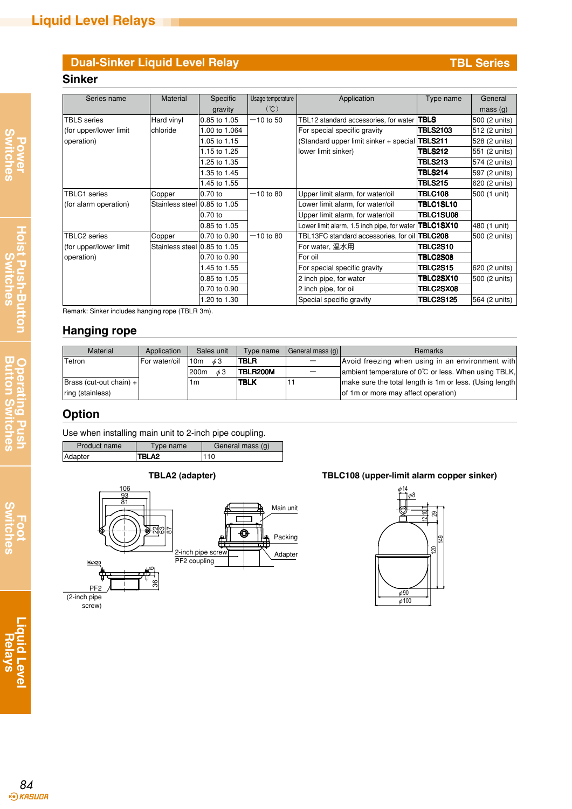### **Dual-Sinker Liquid Level Relay TBL** Series

### **Sinker**

| Series name            | <b>Material</b>              | Specific      | Usage temperature | Application                                   | Type name        | General       |
|------------------------|------------------------------|---------------|-------------------|-----------------------------------------------|------------------|---------------|
|                        |                              | gravity       | (C)               |                                               |                  | mass(g)       |
| TBLS series            | Hard vinyl                   | 0.85 to 1.05  | $-10$ to 50       | TBL12 standard accessories, for water         | <b>TBLS</b>      | 500 (2 units) |
| (for upper/lower limit | chloride                     | 1.00 to 1.064 |                   | For special specific gravity                  | <b>TBLS2103</b>  | 512 (2 units) |
| operation)             |                              | 1.05 to 1.15  |                   | (Standard upper limit sinker + special        | <b>TBLS211</b>   | 528 (2 units) |
|                        |                              | 1.15 to 1.25  |                   | lower limit sinker)                           | <b>TBLS212</b>   | 551 (2 units) |
|                        |                              | 1.25 to 1.35  |                   |                                               | TBLS213          | 574 (2 units) |
|                        |                              | 1.35 to 1.45  |                   |                                               | TBLS214          | 597 (2 units) |
|                        |                              | 1.45 to 1.55  |                   |                                               | <b>TBLS215</b>   | 620 (2 units) |
| TBLC1 series           | Copper                       | 0.70 to       | $-10$ to 80       | Upper limit alarm, for water/oil              | <b>TBLC108</b>   | 500 (1 unit)  |
| (for alarm operation)  | Stainless steel 0.85 to 1.05 |               |                   | Lower limit alarm, for water/oil              | TBLC1SL10        |               |
|                        |                              | 0.70 to       |                   | Upper limit alarm, for water/oil              | <b>TBLC1SU08</b> |               |
|                        |                              | 0.85 to 1.05  |                   | Lower limit alarm, 1.5 inch pipe, for water   | TBLC1SX10        | 480 (1 unit)  |
| TBLC2 series           | Copper                       | 0.70 to 0.90  | $-10$ to 80       | TBL13FC standard accessories, for oil TBLC208 |                  | 500 (2 units) |
| (for upper/lower limit | Stainless steel 0.85 to 1.05 |               |                   | For water, 温水用                                | <b>TBLC2S10</b>  |               |
| operation)             |                              | 0.70 to 0.90  |                   | For oil                                       | <b>TBLC2S08</b>  |               |
|                        |                              | 1.45 to 1.55  |                   | For special specific gravity                  | <b>TBLC2S15</b>  | 620 (2 units) |
|                        |                              | 0.85 to 1.05  |                   | 2 inch pipe, for water                        | <b>TBLC2SX10</b> | 500 (2 units) |
|                        |                              | 0.70 to 0.90  |                   | 2 inch pipe, for oil                          | <b>TBLC2SX08</b> |               |
|                        |                              | 1.20 to 1.30  |                   | Special specific gravity                      | <b>TBLC2S125</b> | 564 (2 units) |

Remark: Sinker includes hanging rope (TBLR 3m).

### **Hanging rope**

| <b>Material</b>                         | Application   | Sales unit                   | Type name   | General mass (g) | <b>Remarks</b>                                          |
|-----------------------------------------|---------------|------------------------------|-------------|------------------|---------------------------------------------------------|
| <b>Tetron</b>                           | For water/oil | 10 <sub>m</sub><br>63        | <b>TBLR</b> |                  | Avoid freezing when using in an environment with        |
|                                         |               | 200 <sub>m</sub><br>$\phi$ 3 | TBLR200M    |                  | ambient temperature of 0°C or less. When using TBLK,    |
| $\vert$ Brass (cut-out chain) + $\vert$ |               | 1m                           | <b>TBLK</b> |                  | make sure the total length is 1m or less. (Using length |
| ring (stainless)                        |               |                              |             |                  | of 1m or more may affect operation)                     |

### **Option**

Adapter

| Use when installing main unit to 2-inch pipe coupling. |              |           |                  |  |  |
|--------------------------------------------------------|--------------|-----------|------------------|--|--|
|                                                        | Product name | Type name | General mass (g) |  |  |

110 TBLA2



#### **TBLA2 (adapter) TBLC108 (upper-limit alarm copper sinker)**



**Liquid Level Liquid Level<br>Relays**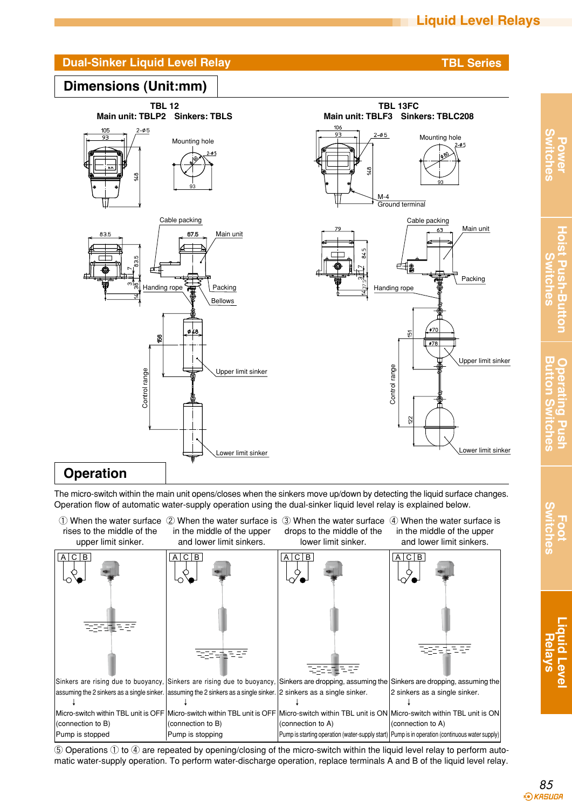

The micro-switch within the main unit opens/closes when the sinkers move up/down by detecting the liquid surface changes. Operation flow of automatic water-supply operation using the dual-sinker liquid level relay is explained below.

 $\mathbb O$  When the water surface  $\mathbb Q$  When the water surface is  $\mathbb S$  When the water surface  $\mathbb A$  When the water surface is rises to the middle of the in the middle of the upper drops to the middle of the in the middle of the upper upper limit sinker. and lower limit sinkers. lower limit sinker. and lower limit sinkers. A C B A C B A C B A C B ਬਰਤ ਵਿਚ 파라다 방법 ਬਰਤੀਬਾ 달달 민국의 Sinkers are rising due to buoyancy, Sinkers are rising due to buoyancy, Sinkers are dropping, assuming the Sinkers are dropping, assuming the assuming the 2 sinkers as a single sinker. assuming the 2 sinkers as a single sinker. 2 sinkers as a single sinker. 2 sinkers as a single sinker. ↓ ↓ ↓ ↓ Micro-switch within TBL unit is OFF Micro-switch within TBL unit is OFF Micro-switch within TBL unit is ON Micro-switch within TBL unit is ON (connection to B) (connection to B) (connection to A) (connection to A) Pump is stopped Pump is stopping Pump is starting operation (water-supply start) | Pump is in operation (continuous water supply)

⑤ Operations ① to ④ are repeated by opening/closing of the micro-switch within the liquid level relay to perform automatic water-supply operation. To perform water-discharge operation, replace terminals A and B of the liquid level relay.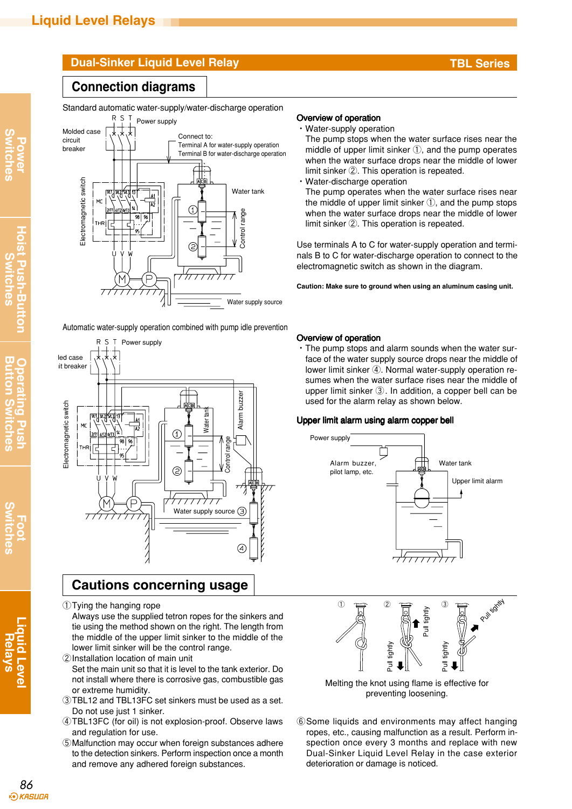### **Dual-Sinker Liquid Level Relay TBL** Series

### **Connection diagrams**

Standard automatic water-supply/water-discharge operation



Automatic water-supply operation combined with pump idle prevention



### **Cautions concerning usage**

①Tying the hanging rope

Always use the supplied tetron ropes for the sinkers and tie using the method shown on the right. The length from the middle of the upper limit sinker to the middle of the lower limit sinker will be the control range.

- ②Installation location of main unit Set the main unit so that it is level to the tank exterior. Do not install where there is corrosive gas, combustible gas or extreme humidity.
- ③TBL12 and TBL13FC set sinkers must be used as a set. Do not use just 1 sinker.
- ④TBL13FC (for oil) is not explosion-proof. Observe laws and regulation for use.
- ⑤Malfunction may occur when foreign substances adhere to the detection sinkers. Perform inspection once a month and remove any adhered foreign substances.

#### Overview of operation

・Water-supply operation

The pump stops when the water surface rises near the middle of upper limit sinker ①, and the pump operates when the water surface drops near the middle of lower limit sinker ②. This operation is repeated.

・Water-discharge operation The pump operates when the water surface rises near the middle of upper limit sinker ①, and the pump stops when the water surface drops near the middle of lower limit sinker ②. This operation is repeated.

Use terminals A to C for water-supply operation and terminals B to C for water-discharge operation to connect to the electromagnetic switch as shown in the diagram.

**Caution: Make sure to ground when using an aluminum casing unit.**

#### Overview of operation

・The pump stops and alarm sounds when the water surface of the water supply source drops near the middle of lower limit sinker ④. Normal water-supply operation resumes when the water surface rises near the middle of upper limit sinker ③. In addition, a copper bell can be used for the alarm relay as shown below.

#### Upper limit alarm using alarm copper bell limit alarm using alarm copper bell





Melting the knot using flame is effective for preventing loosening.

⑥Some liquids and environments may affect hanging ropes, etc., causing malfunction as a result. Perform inspection once every 3 months and replace with new Dual-Sinker Liquid Level Relay in the case exterior deterioration or damage is noticed.